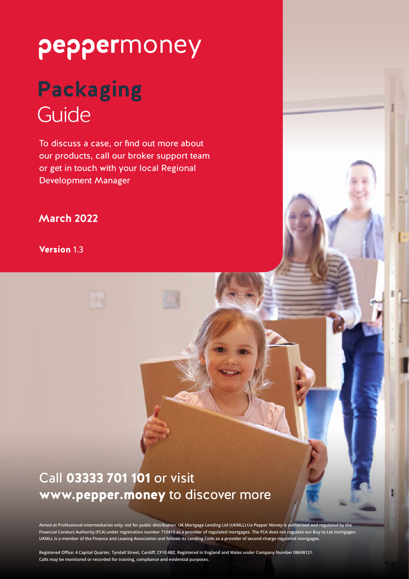# peppermoney

## **Packaging** Guide

To discuss a case, or find out more about our products, call our broker support team or get in touch with your local Regional Development Manager

## **March 2022**

Version 1.3

## Call 03333 701 101 or visit www.pepper.money to discover more

**Aimed at Professional intermediaries only; not for public distribution. UK Mortgage Lending Ltd (UKMLL) t/a Pepper Money is authorised and regulated by the Financial Conduct Authority (FCA) under registration number 710410 as a provider of regulated mortgages. The FCA does not regulate our Buy to Let mortgages. UKMLL is a member of the Finance and Leasing Association and follows its Lending Code as a provider of second charge regulated mortgages.**

**Registered Office: 4 Capital Quarter, Tyndall Street, Cardiff, CF10 4BZ. Registered in England and Wales under Company Number 08698121. Calls may be monitored or recorded for training, compliance and evidential purposes.**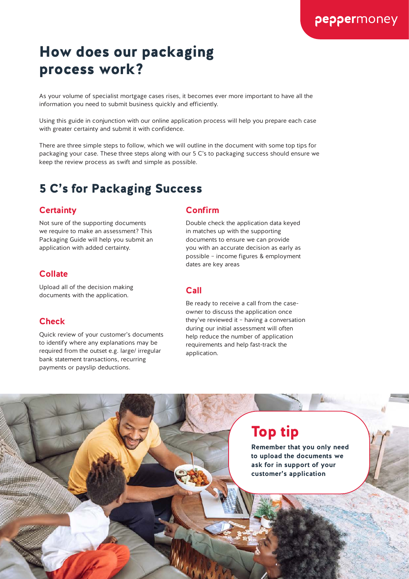## How does our packaging process work?

As your volume of specialist mortgage cases rises, it becomes ever more important to have all the information you need to submit business quickly and efficiently.

Using this guide in conjunction with our online application process will help you prepare each case with greater certainty and submit it with confidence.

There are three simple steps to follow, which we will outline in the document with some top tips for packaging your case. These three steps along with our 5 C's to packaging success should ensure we keep the review process as swift and simple as possible.

## 5 C's for Packaging Success

#### **Certainty**

Not sure of the supporting documents we require to make an assessment? This Packaging Guide will help you submit an application with added certainty.

#### **Collate**

Upload all of the decision making documents with the application.

#### **Check**

 $2$   $2$   $2$   $2$ 

Quick review of your customer's documents to identify where any explanations may be required from the outset e.g. large/ irregular bank statement transactions, recurring payments or payslip deductions.

#### **Confirm**

Double check the application data keyed in matches up with the supporting documents to ensure we can provide you with an accurate decision as early as possible – income figures & employment dates are key areas

#### **Call**

Be ready to receive a call from the caseowner to discuss the application once they've reviewed it – having a conversation during our initial assessment will often help reduce the number of application requirements and help fast-track the application.

## Top tip

**Remember that you only need to upload the documents we ask for in support of your customer's application**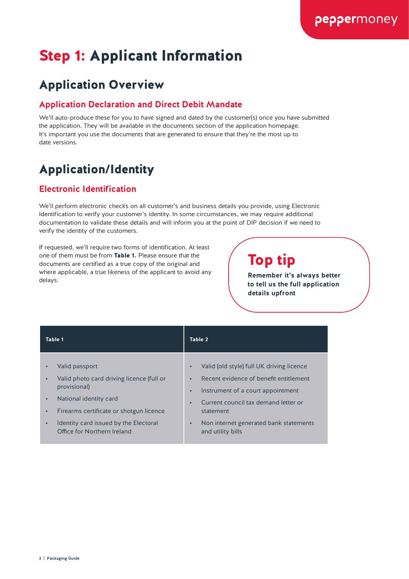## Step 1: Applicant Information

## Application Overview

## **Application Declaration and Direct Debit Mandate**

We'll auto-produce these for you to have signed and dated by the customer(s) once you have submitted the application. They will be available in the documents section of the application homepage. It's important you use the documents that are generated to ensure that they're the most up to date versions.

## Application/Identity

## **Electronic Identification**

We'll perform electronic checks on all customer's and business details you provide, using Electronic Identification to verify your customer's identity. In some circumstances, we may require additional documentation to validate these details and will inform you at the point of DIP decision if we need to verify the identity of the customers.

If requested, we'll require two forms of identification. At least one of them must be from Table 1. Please ensure that the documents are certified as a true copy of the original and where applicable, a true likeness of the applicant to avoid any delays.

## Top tip

**Remember it's always better to tell us the full application details upfront**

| Table 1                                                                                                                                                                                                                                                                      | Table 2                                                                                                                                                                                                                                                                                                       |
|------------------------------------------------------------------------------------------------------------------------------------------------------------------------------------------------------------------------------------------------------------------------------|---------------------------------------------------------------------------------------------------------------------------------------------------------------------------------------------------------------------------------------------------------------------------------------------------------------|
| Valid passport<br>Valid photo card driving licence (full or<br>$\bullet$<br>provisional)<br>National identity card<br>$\bullet$<br>Firearms certificate or shotgun licence<br>$\bullet$<br>Identity card issued by the Electoral<br>$\bullet$<br>Office for Northern Ireland | Valid (old style) full UK driving licence<br>$\bullet$<br>Recent evidence of benefit entitlement<br>$\bullet$<br>Instrument of a court appointment<br>$\bullet$<br>Current council tax demand letter or<br>$\bullet$<br>statement<br>Non internet generated bank statements<br>$\bullet$<br>and utility bills |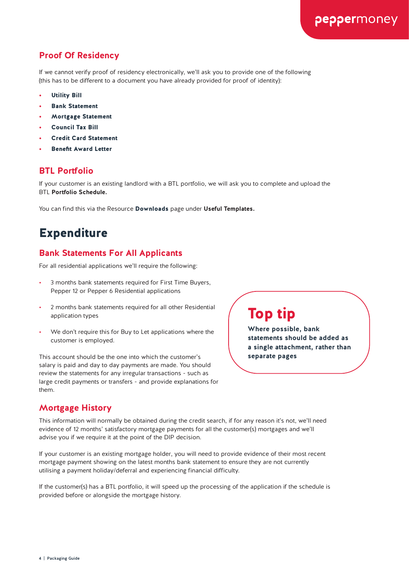## **Proof Of Residency**

If we cannot verify proof of residency electronically, we'll ask you to provide one of the following (this has to be different to a document you have already provided for proof of identity):

- **Utility Bill**
- **Bank Statement**
- Mortgage Statement
- Council Tax Bill
- Credit Card Statement
- Benefit Award Letter

#### **BTL Portfolio**

If your customer is an existing landlord with a BTL portfolio, we will ask you to complete and upload the BTL **Portfolio Schedule.**

You can find this via the Resource Downloads page under **Useful Templates.**

## Expenditure

#### **Bank Statements For All Applicants**

For all residential applications we'll require the following:

- 3 months bank statements required for First Time Buyers, Pepper 12 or Pepper 6 Residential applications
- 2 months bank statements required for all other Residential application types
- We don't require this for Buy to Let applications where the customer is employed.

This account should be the one into which the customer's salary is paid and day to day payments are made. You should review the statements for any irregular transactions - such as large credit payments or transfers - and provide explanations for them.

Top tip

**Where possible, bank statements should be added as a single attachment, rather than separate pages**

peppermoney

#### **Mortgage History**

This information will normally be obtained during the credit search, if for any reason it's not, we'll need evidence of 12 months' satisfactory mortgage payments for all the customer(s) mortgages and we'll advise you if we require it at the point of the DIP decision.

If your customer is an existing mortgage holder, you will need to provide evidence of their most recent mortgage payment showing on the latest months bank statement to ensure they are not currently utilising a payment holiday/deferral and experiencing financial difficulty.

If the customer(s) has a BTL portfolio, it will speed up the processing of the application if the schedule is provided before or alongside the mortgage history.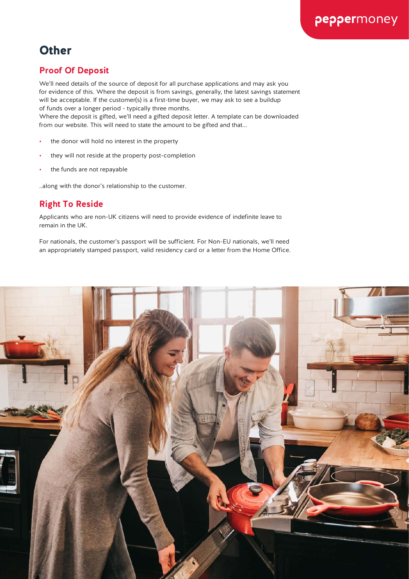## **Other**

## **Proof Of Deposit**

We'll need details of the source of deposit for all purchase applications and may ask you for evidence of this. Where the deposit is from savings, generally, the latest savings statement will be acceptable. If the customer(s) is a first-time buyer, we may ask to see a buildup of funds over a longer period - typically three months.

Where the deposit is gifted, we'll need a gifted deposit letter. A template can be downloaded from our website. This will need to state the amount to be gifted and that...

- the donor will hold no interest in the property
- they will not reside at the property post-completion
- the funds are not repayable

..along with the donor's relationship to the customer.

## **Right To Reside**

Applicants who are non-UK citizens will need to provide evidence of indefinite leave to remain in the UK.

For nationals, the customer's passport will be sufficient. For Non-EU nationals, we'll need an appropriately stamped passport, valid residency card or a letter from the Home Office.

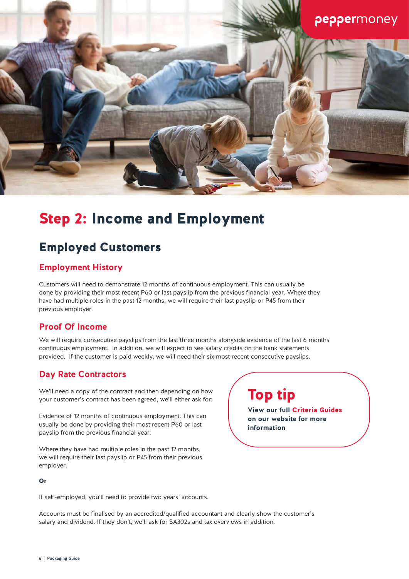

## Step 2: Income and Employment

## Employed Customers

## **Employment History**

Customers will need to demonstrate 12 months of continuous employment. This can usually be done by providing their most recent P60 or last payslip from the previous financial year. Where they have had multiple roles in the past 12 months, we will require their last payslip or P45 from their previous employer.

#### **Proof Of Income**

We will require consecutive payslips from the last three months alongside evidence of the last 6 months continuous employment. In addition, we will expect to see salary credits on the bank statements provided. If the customer is paid weekly, we will need their six most recent consecutive payslips.

## **Day Rate Contractors**

We'll need a copy of the contract and then depending on how your customer's contract has been agreed, we'll either ask for:

Evidence of 12 months of continuous employment. This can usually be done by providing their most recent P60 or last payslip from the previous financial year.

Where they have had multiple roles in the past 12 months, we will require their last payslip or P45 from their previous employer.

#### Or

If self-employed, you'll need to provide two years' accounts.

Accounts must be finalised by an accredited/qualified accountant and clearly show the customer's salary and dividend. If they don't, we'll ask for SA302s and tax overviews in addition.

## Top tip

**View our full** Criteria Guides **on our website for more information**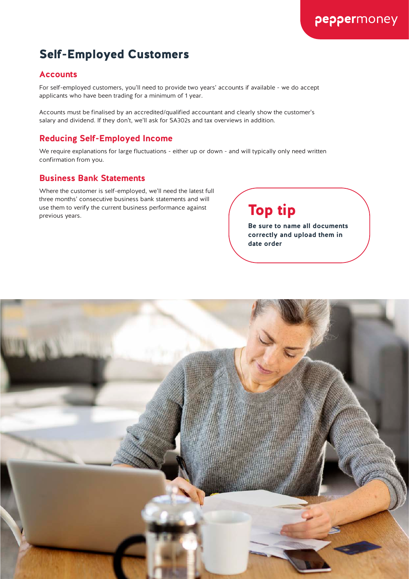## Self-Employed Customers

#### **Accounts**

For self-employed customers, you'll need to provide two years' accounts if available - we do accept applicants who have been trading for a minimum of 1 year.

Accounts must be finalised by an accredited/qualified accountant and clearly show the customer's salary and dividend. If they don't, we'll ask for SA302s and tax overviews in addition.

## **Reducing Self-Employed Income**

We require explanations for large fluctuations - either up or down - and will typically only need written confirmation from you.

#### **Business Bank Statements**

Where the customer is self-employed, we'll need the latest full three months' consecutive business bank statements and will use them to verify the current business performance against  $\sqrt{ }$  Top tip<br>previous years.

**Be sure to name all documents correctly and upload them in date order**